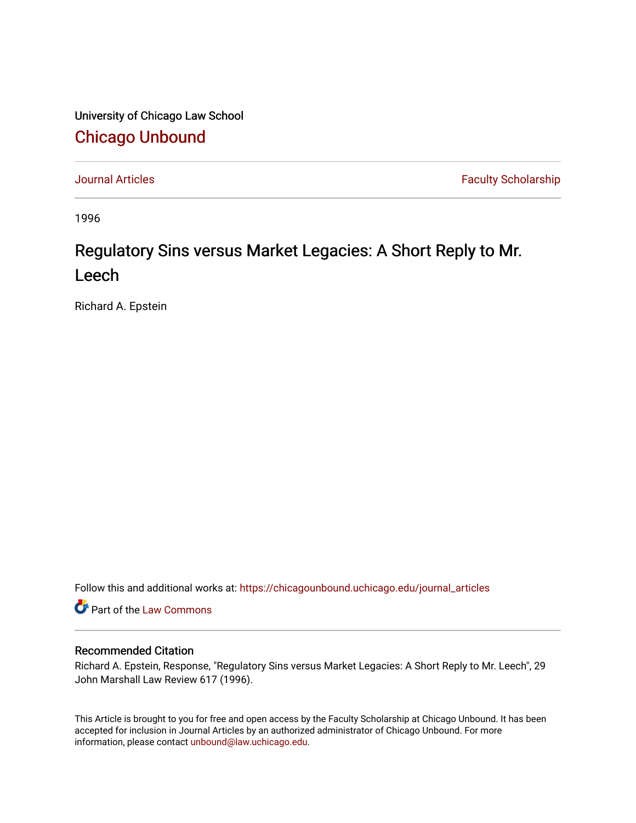University of Chicago Law School [Chicago Unbound](https://chicagounbound.uchicago.edu/)

[Journal Articles](https://chicagounbound.uchicago.edu/journal_articles) **Faculty Scholarship Faculty Scholarship** 

1996

# Regulatory Sins versus Market Legacies: A Short Reply to Mr. Leech

Richard A. Epstein

Follow this and additional works at: [https://chicagounbound.uchicago.edu/journal\\_articles](https://chicagounbound.uchicago.edu/journal_articles?utm_source=chicagounbound.uchicago.edu%2Fjournal_articles%2F3730&utm_medium=PDF&utm_campaign=PDFCoverPages) 

Part of the [Law Commons](http://network.bepress.com/hgg/discipline/578?utm_source=chicagounbound.uchicago.edu%2Fjournal_articles%2F3730&utm_medium=PDF&utm_campaign=PDFCoverPages)

#### Recommended Citation

Richard A. Epstein, Response, "Regulatory Sins versus Market Legacies: A Short Reply to Mr. Leech", 29 John Marshall Law Review 617 (1996).

This Article is brought to you for free and open access by the Faculty Scholarship at Chicago Unbound. It has been accepted for inclusion in Journal Articles by an authorized administrator of Chicago Unbound. For more information, please contact [unbound@law.uchicago.edu](mailto:unbound@law.uchicago.edu).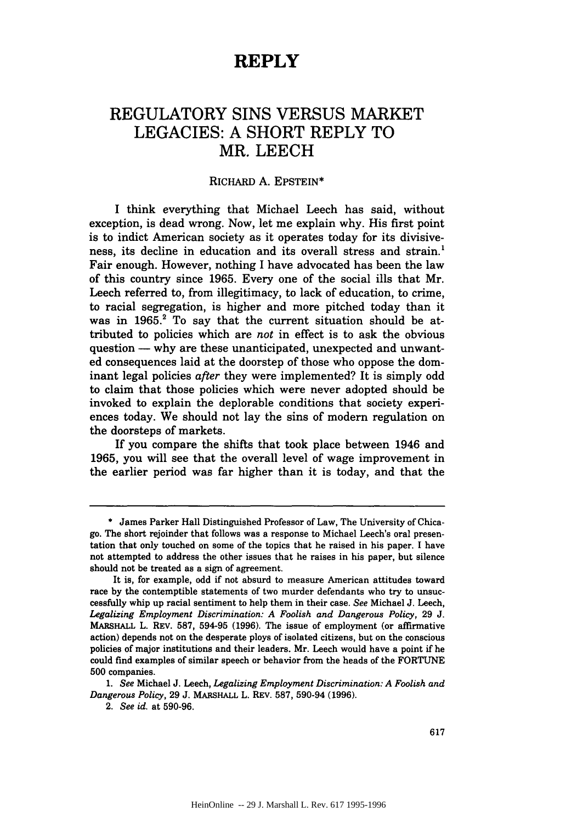### **REPLY**

## REGULATORY SINS **VERSUS** MARKET LEGACIES: **A** SHORT REPLY TO MR. **LEECH**

#### RICHARD A. EPSTEIN\*

I think everything that Michael Leech has said, without exception, is dead wrong. Now, let me explain why. His first point is to indict American society as it operates today for its divisiveness, its decline in education and its overall stress and strain.' Fair enough. However, nothing I have advocated has been the law of this country since 1965. Every one of the social ills that Mr. Leech referred to, from illegitimacy, to lack of education, to crime, to racial segregation, is higher and more pitched today than it was in  $1965$ .<sup>2</sup> To say that the current situation should be attributed to policies which are *not* in effect is to ask the obvious question **-** why are these unanticipated, unexpected and unwanted consequences laid at the doorstep of those who oppose the dominant legal policies *after* they were implemented? It is simply odd to claim that those policies which were never adopted should be invoked to explain the deplorable conditions that society experiences today. We should not lay the sins of modern regulation on the doorsteps of markets.

If you compare the shifts that took place between 1946 and 1965, you will see that the overall level of wage improvement in the earlier period was far higher than it is today, and that the

**<sup>\*</sup>** James Parker Hall Distinguished Professor of Law, The University of Chicago. The short rejoinder that follows was a response to Michael Leech's oral presentation that only touched on some of the topics that he raised in his paper. I have not attempted to address the other issues that he raises in his paper, but silence should not be treated as a sign of agreement.

It is, for example, odd if not absurd to measure American attitudes toward race by the contemptible statements of two murder defendants who try to unsuccessfully whip up racial sentiment to help them in their case. *See* Michael J. Leech, *Legalizing Employment Discrimination: A Foolish and Dangerous Policy,* 29 J. MARSHALL L. REV. 587, 594-95 (1996). The issue of employment (or affirmative action) depends not on the desperate ploys of isolated citizens, but on the conscious policies of major institutions and their leaders. Mr. Leech would have a point if he could find examples of similar speech or behavior from the heads of the FORTUNE **500** companies.

*<sup>1.</sup> See* Michael J. Leech, *Legalizing Employment Discrimination: A Foolish and Dangerous Policy,* 29 J. MARSHALL L. REV. 587, 590-94 (1996).

<sup>2.</sup> *See id.* at 590-96.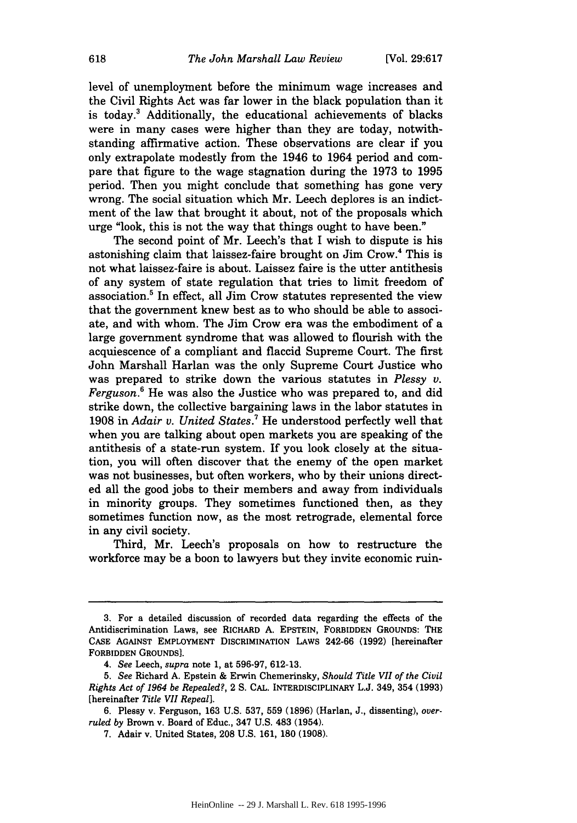level of unemployment before the minimum wage increases and the Civil Rights Act was far lower in the black population than it is today.3 Additionally, the educational achievements of blacks were in many cases were higher than they are today, notwithstanding affirmative action. These observations are clear if you only extrapolate modestly from the 1946 to 1964 period and compare that figure to the wage stagnation during the 1973 to 1995 period. Then you might conclude that something has gone very wrong. The social situation which Mr. Leech deplores is an indictment of the law that brought it about, not of the proposals which urge "look, this is not the way that things ought to have been."

The second point of Mr. Leech's that I wish to dispute is his astonishing claim that laissez-faire brought on Jim Crow.4 This is not what laissez-faire is about. Laissez faire is the utter antithesis of any system of state regulation that tries to limit freedom of association.5 In effect, all Jim Crow statutes represented the view that the government knew best as to who should be able to associate, and with whom. The Jim Crow era was the embodiment of a large government syndrome that was allowed to flourish with the acquiescence of a compliant and flaccid Supreme Court. The first John Marshall Harlan was the only Supreme Court Justice who was prepared to strike down the various statutes in *Plessy v. Ferguson.*<sup>6</sup> He was also the Justice who was prepared to, and did strike down, the collective bargaining laws in the labor statutes in 1908 in *Adair v. United States.7* He understood perfectly well that when you are talking about open markets you are speaking of the antithesis of a state-run system. If you look closely at the situation, you will often discover that the enemy of the open market was not businesses, but often workers, who by their unions directed all the good jobs to their members and away from individuals in minority groups. They sometimes functioned then, as they sometimes function now, as the most retrograde, elemental force in any civil society.

Third, Mr. Leech's proposals on how to restructure the workforce may be a boon to lawyers but they invite economic ruin-

<sup>3.</sup> For a detailed discussion of recorded data regarding the effects of the Antidiscrimination Laws, see RICHARD **A.** EPSTEIN, FORBIDDEN GROUNDS: THE CASE AGAINST EMPLOYMENT DISCRIMINATION LAWS 242-66 **(1992)** [hereinafter FORBIDDEN GROUNDS).

*<sup>4.</sup> See* Leech, *supra* note 1, at **596-97,** 612-13.

*<sup>5.</sup> See* Richard A. Epstein & Erwin Chemerinsky, *Should Title VII of the Civil Rights Act of 1964 be Repealed?,* 2 S. CAL. INTERDISCIPLINARY L.J. 349, 354 **(1993)** [hereinafter *Title VII Repeal].*

<sup>6.</sup> Plessy v. Ferguson, 163 U.S. **537, 559** (1896) (Harlan, J., dissenting), *overruled by* Brown v. Board of Educ., 347 U.S. 483 (1954).

<sup>7.</sup> Adair v. United States, **208** U.S. 161, **180 (1908).**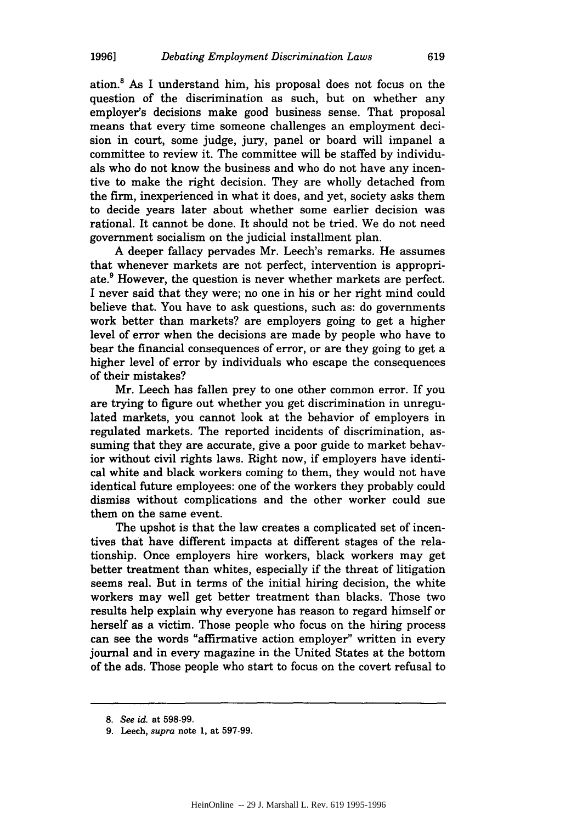ation.8 As **I** understand him, his proposal does not focus on the question of the discrimination as such, but on whether any employer's decisions make good business sense. That proposal means that every time someone challenges an employment decision in court, some judge, jury, panel or board will impanel a committee to review it. The committee will be staffed by individuals who do not know the business and who do not have any incentive to make the right decision. They are wholly detached from the firm, inexperienced in what it does, and yet, society asks them to decide years later about whether some earlier decision was rational. It cannot be done. It should not be tried. We do not need government socialism on the judicial installment plan.

A deeper fallacy pervades Mr. Leech's remarks. He assumes that whenever markets are not perfect, intervention is appropriate.<sup>9</sup> However, the question is never whether markets are perfect. I never said that they were; no one in his or her right mind could believe that. You have to ask questions, such as: do governments work better than markets? are employers going to get a higher level of error when the decisions are made by people who have to bear the financial consequences of error, or are they going to get a higher level of error by individuals who escape the consequences of their mistakes?

Mr. Leech has fallen prey to one other common error. If you are trying to figure out whether you get discrimination in unregulated markets, you cannot look at the behavior of employers in regulated markets. The reported incidents of discrimination, assuming that they are accurate, give a poor guide to market behavior without civil rights laws. Right now, if employers have identical white and black workers coming to them, they would not have identical future employees: one of the workers they probably could dismiss without complications and the other worker could sue them on the same event.

The upshot is that the law creates a complicated set of incentives that have different impacts at different stages of the relationship. Once employers hire workers, black workers may get better treatment than whites, especially if the threat of litigation seems real. But in terms of the initial hiring decision, the white workers may well get better treatment than blacks. Those two results help explain why everyone has reason to regard himself or herself as a victim. Those people who focus on the hiring process can see the words "affirmative action employer" written in every journal and in every magazine in the United States at the bottom of the ads. Those people who start to focus on the covert refusal to

619

*<sup>8.</sup> See id.* at **598-99.**

**<sup>9.</sup>** Leech, *supra* **note 1, at 597-99.**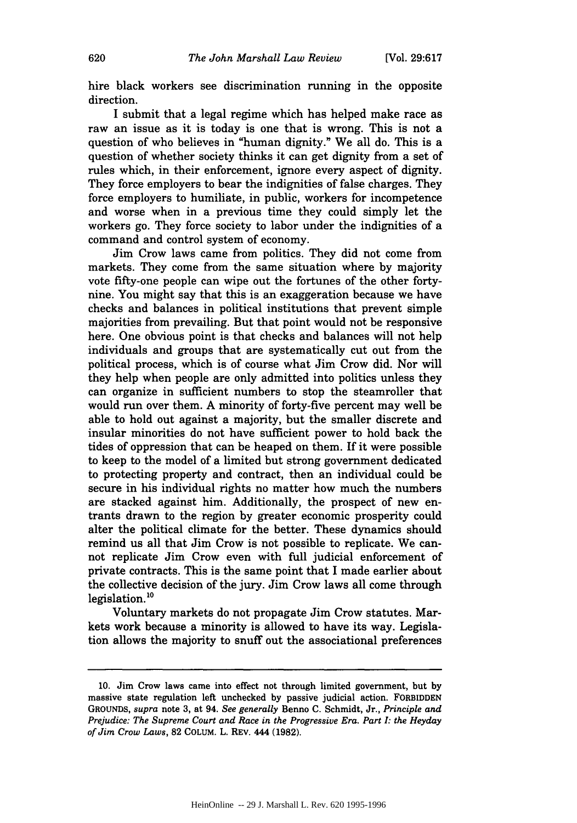hire black workers see discrimination running in the opposite direction.

I submit that a legal regime which has helped make race as raw an issue as it is today is one that is wrong. This is not a question of who believes in "human dignity." We all do. This is a question of whether society thinks it can get dignity from a set of rules which, in their enforcement, ignore every aspect of dignity. They force employers to bear the indignities of false charges. They force employers to humiliate, in public, workers for incompetence and worse when in a previous time they could simply let the workers go. They force society to labor under the indignities of a command and control system of economy.

Jim Crow laws came from politics. They did not come from markets. They come from the same situation where by majority vote fifty-one people can wipe out the fortunes of the other fortynine. You might say that this is an exaggeration because we have checks and balances in political institutions that prevent simple majorities from prevailing. But that point would not be responsive here. One obvious point is that checks and balances will not help individuals and groups that are systematically cut out from the political process, which is of course what Jim Crow did. Nor will they help when people are only admitted into politics unless they can organize in sufficient numbers to stop the steamroller that would run over them. A minority of forty-five percent may well be able to hold out against a majority, but the smaller discrete and insular minorities do not have sufficient power to hold back the tides of oppression that can be heaped on them. If it were possible to keep to the model of a limited but strong government dedicated to protecting property and contract, then an individual could be secure in his individual rights no matter how much the numbers are stacked against him. Additionally, the prospect of new entrants drawn to the region by greater economic prosperity could alter the political climate for the better. These dynamics should remind us all that Jim Crow is not possible to replicate. We cannot replicate Jim Crow even with full judicial enforcement of private contracts. This is the same point that I made earlier about the collective decision of the jury. Jim Crow laws all come through legislation.<sup>10</sup>

Voluntary markets do not propagate Jim Crow statutes. Markets work because a minority is allowed to have its way. Legislation allows the majority to snuff out the associational preferences

<sup>10.</sup> Jim Crow laws came into effect not through limited government, but by massive state regulation left unchecked by passive judicial action. FORBIDDEN GROUNDS, *supra* note 3, at 94. *See generally* Benno C. Schmidt, Jr., *Principle and Prejudice: The Supreme Court and Race in the Progressive Era. Part I: the Heyday of Jim Crow Laws,* **82** COLUM. L. REV. 444 **(1982).**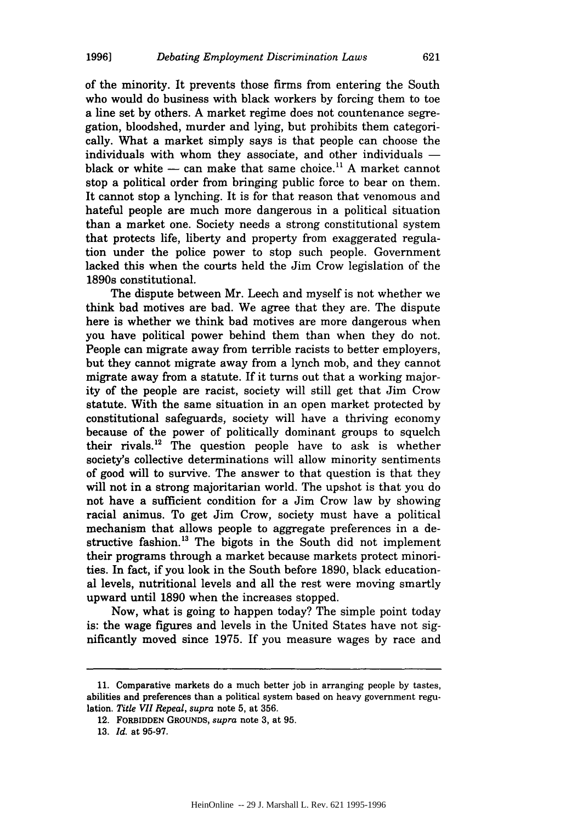of the minority. It prevents those firms from entering the South who would do business with black workers by forcing them to toe a line set by others. A market regime does not countenance segregation, bloodshed, murder and lying, but prohibits them categorically. What a market simply says is that people can choose the individuals with whom they associate, and other individuals  black or white  $-$  can make that same choice.<sup>11</sup> A market cannot stop a political order from bringing public force to bear on them. It cannot stop a lynching. It is for that reason that venomous and hateful people are much more dangerous in a political situation than a market one. Society needs a strong constitutional system that protects life, liberty and property from exaggerated regulation under the police power to stop such people. Government lacked this when the courts held the Jim Crow legislation of the 1890s constitutional.

The dispute between Mr. Leech and myself is not whether we think bad motives are bad. We agree that they are. The dispute here is whether we think bad motives are more dangerous when you have political power behind them than when they do not. People can migrate away from terrible racists to better employers, but they cannot migrate away from a lynch mob, and they cannot migrate away from a statute. If it turns out that a working majority of the people are racist, society will still get that Jim Crow statute. With the same situation in an open market protected by constitutional safeguards, society will have a thriving economy because of the power of politically dominant groups to squelch their rivals.<sup>12</sup> The question people have to ask is whether society's collective determinations will allow minority sentiments of good will to survive. The answer to that question is that they will not in a strong majoritarian world. The upshot is that you do not have a sufficient condition for a Jim Crow law by showing racial animus. To get Jim Crow, society must have a political mechanism that allows people to aggregate preferences in a destructive fashion. **'3** The bigots in the South did not implement their programs through a market because markets protect minorities. In fact, if you look in the South before 1890, black educational levels, nutritional levels and all the rest were moving smartly upward until 1890 when the increases stopped.

Now, what is going to happen today? The simple point today is: the wage figures and levels in the United States have not significantly moved since 1975. If you measure wages by race and

<sup>11.</sup> Comparative markets do a much better job in arranging people by tastes, abilities and preferences than a political system based on heavy government regulation. *Title VII Repeal, supra* note 5, at 356.

<sup>12.</sup> FORBIDDEN **GROUNDS,** *supra* note 3, at 95.

**<sup>13.</sup>** *Id.* at 95-97.